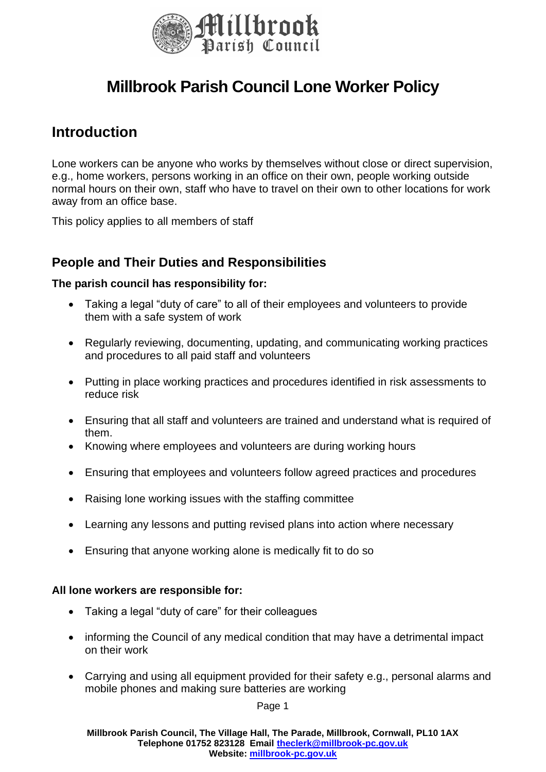

# **Millbrook Parish Council Lone Worker Policy**

## **Introduction**

Lone workers can be anyone who works by themselves without close or direct supervision, e.g., home workers, persons working in an office on their own, people working outside normal hours on their own, staff who have to travel on their own to other locations for work away from an office base.

This policy applies to all members of staff

### **People and Their Duties and Responsibilities**

#### **The parish council has responsibility for:**

- Taking a legal "duty of care" to all of their employees and volunteers to provide them with a safe system of work
- Regularly reviewing, documenting, updating, and communicating working practices and procedures to all paid staff and volunteers
- Putting in place working practices and procedures identified in risk assessments to reduce risk
- Ensuring that all staff and volunteers are trained and understand what is required of them.
- Knowing where employees and volunteers are during working hours
- Ensuring that employees and volunteers follow agreed practices and procedures
- Raising lone working issues with the staffing committee
- Learning any lessons and putting revised plans into action where necessary
- Ensuring that anyone working alone is medically fit to do so

#### **All lone workers are responsible for:**

- Taking a legal "duty of care" for their colleagues
- informing the Council of any medical condition that may have a detrimental impact on their work
- Carrying and using all equipment provided for their safety e.g., personal alarms and mobile phones and making sure batteries are working

Page 1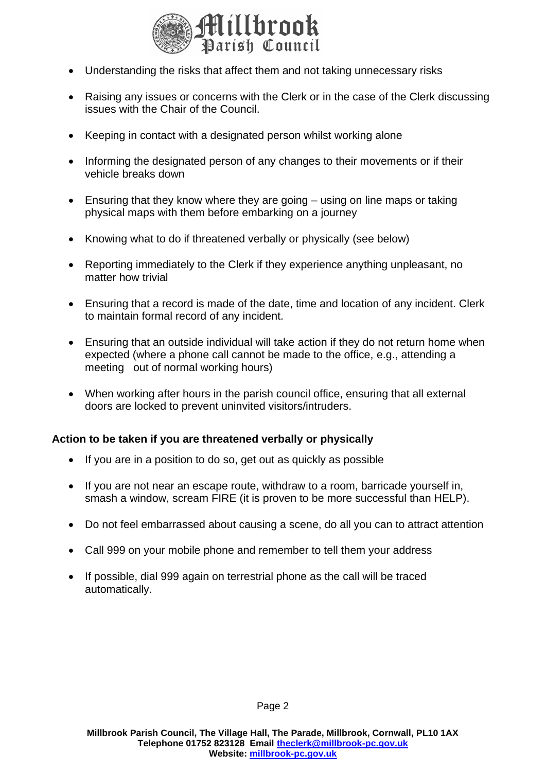

- Understanding the risks that affect them and not taking unnecessary risks
- Raising any issues or concerns with the Clerk or in the case of the Clerk discussing issues with the Chair of the Council.
- Keeping in contact with a designated person whilst working alone
- Informing the designated person of any changes to their movements or if their vehicle breaks down
- Ensuring that they know where they are going using on line maps or taking physical maps with them before embarking on a journey
- Knowing what to do if threatened verbally or physically (see below)
- Reporting immediately to the Clerk if they experience anything unpleasant, no matter how trivial
- Ensuring that a record is made of the date, time and location of any incident. Clerk to maintain formal record of any incident.
- Ensuring that an outside individual will take action if they do not return home when expected (where a phone call cannot be made to the office, e.g., attending a meeting out of normal working hours)
- When working after hours in the parish council office, ensuring that all external doors are locked to prevent uninvited visitors/intruders.

#### **Action to be taken if you are threatened verbally or physically**

- If you are in a position to do so, get out as quickly as possible
- If you are not near an escape route, withdraw to a room, barricade yourself in, smash a window, scream FIRE (it is proven to be more successful than HELP).
- Do not feel embarrassed about causing a scene, do all you can to attract attention
- Call 999 on your mobile phone and remember to tell them your address
- If possible, dial 999 again on terrestrial phone as the call will be traced automatically.